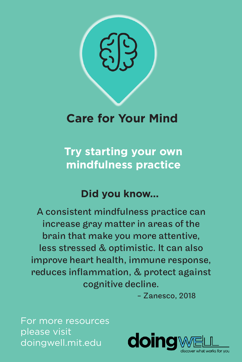

## **Care for Your Mind**

**Try starting your own mindfulness practice** 

## **Did you know...**

A consistent mindfulness practice can increase gray matter in areas of the brain that make you more attentive, less stressed & optimistic. It can also improve heart health, immune response, reduces inflammation, & protect against cognitive decline.

- Zanesco, 2018

For more resources please visit doingwell.mit.edu